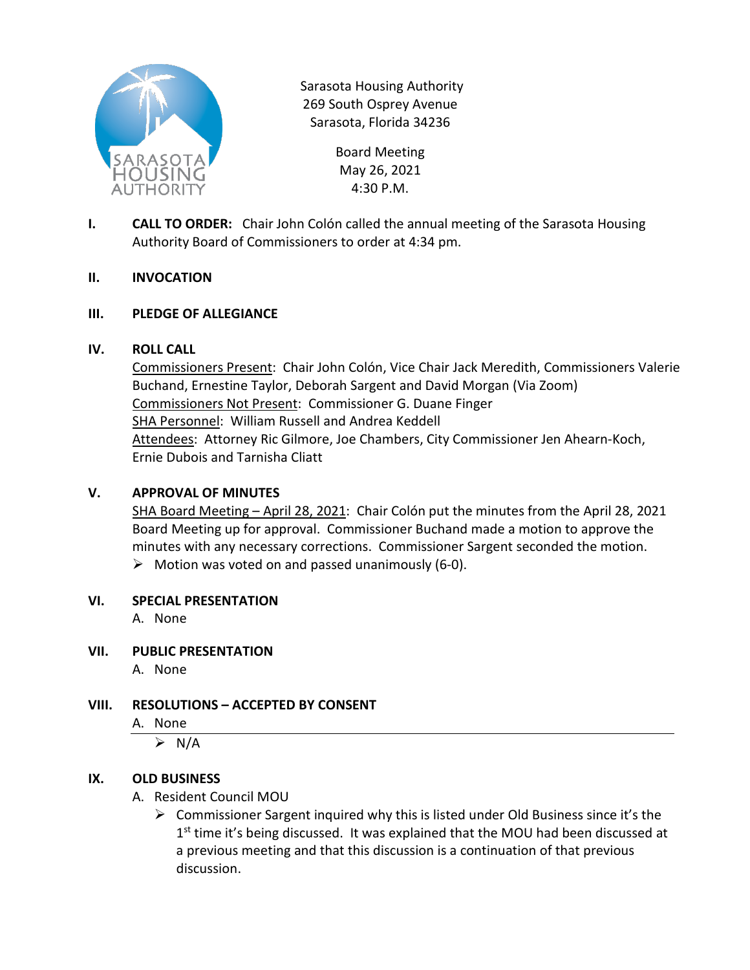

Sarasota Housing Authority 269 South Osprey Avenue Sarasota, Florida 34236

> Board Meeting May 26, 2021 4:30 P.M.

**I. CALL TO ORDER:** Chair John Colón called the annual meeting of the Sarasota Housing Authority Board of Commissioners to order at 4:34 pm.

### **II. INVOCATION**

### **III. PLEDGE OF ALLEGIANCE**

#### **IV. ROLL CALL**

Commissioners Present: Chair John Colón, Vice Chair Jack Meredith, Commissioners Valerie Buchand, Ernestine Taylor, Deborah Sargent and David Morgan (Via Zoom) Commissioners Not Present: Commissioner G. Duane Finger SHA Personnel: William Russell and Andrea Keddell Attendees: Attorney Ric Gilmore, Joe Chambers, City Commissioner Jen Ahearn-Koch, Ernie Dubois and Tarnisha Cliatt

#### **V. APPROVAL OF MINUTES**

SHA Board Meeting – April 28, 2021: Chair Colón put the minutes from the April 28, 2021 Board Meeting up for approval. Commissioner Buchand made a motion to approve the minutes with any necessary corrections. Commissioner Sargent seconded the motion.  $\triangleright$  Motion was voted on and passed unanimously (6-0).

#### **VI. SPECIAL PRESENTATION**

A. None

## **VII. PUBLIC PRESENTATION**

A. None

## **VIII. RESOLUTIONS – ACCEPTED BY CONSENT**

#### A. None

 $\triangleright$  N/A

## **IX. OLD BUSINESS**

#### A. Resident Council MOU

 $\triangleright$  Commissioner Sargent inquired why this is listed under Old Business since it's the  $1<sup>st</sup>$  time it's being discussed. It was explained that the MOU had been discussed at a previous meeting and that this discussion is a continuation of that previous discussion.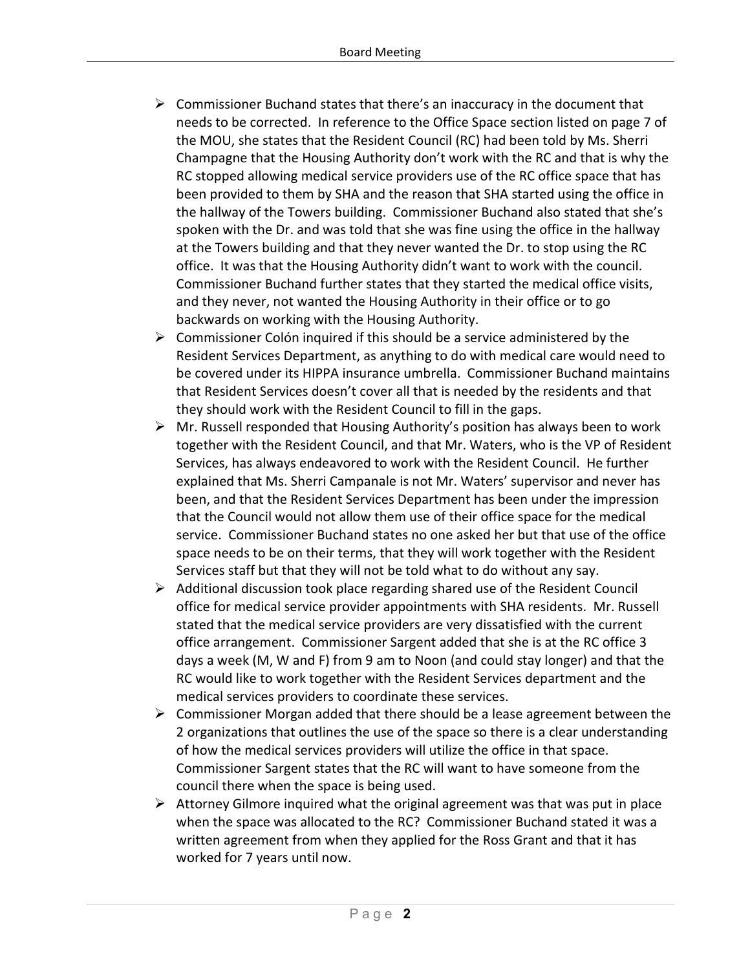- $\triangleright$  Commissioner Buchand states that there's an inaccuracy in the document that needs to be corrected. In reference to the Office Space section listed on page 7 of the MOU, she states that the Resident Council (RC) had been told by Ms. Sherri Champagne that the Housing Authority don't work with the RC and that is why the RC stopped allowing medical service providers use of the RC office space that has been provided to them by SHA and the reason that SHA started using the office in the hallway of the Towers building. Commissioner Buchand also stated that she's spoken with the Dr. and was told that she was fine using the office in the hallway at the Towers building and that they never wanted the Dr. to stop using the RC office. It was that the Housing Authority didn't want to work with the council. Commissioner Buchand further states that they started the medical office visits, and they never, not wanted the Housing Authority in their office or to go backwards on working with the Housing Authority.
- $\triangleright$  Commissioner Colón inquired if this should be a service administered by the Resident Services Department, as anything to do with medical care would need to be covered under its HIPPA insurance umbrella. Commissioner Buchand maintains that Resident Services doesn't cover all that is needed by the residents and that they should work with the Resident Council to fill in the gaps.
- $\triangleright$  Mr. Russell responded that Housing Authority's position has always been to work together with the Resident Council, and that Mr. Waters, who is the VP of Resident Services, has always endeavored to work with the Resident Council. He further explained that Ms. Sherri Campanale is not Mr. Waters' supervisor and never has been, and that the Resident Services Department has been under the impression that the Council would not allow them use of their office space for the medical service. Commissioner Buchand states no one asked her but that use of the office space needs to be on their terms, that they will work together with the Resident Services staff but that they will not be told what to do without any say.
- $\triangleright$  Additional discussion took place regarding shared use of the Resident Council office for medical service provider appointments with SHA residents. Mr. Russell stated that the medical service providers are very dissatisfied with the current office arrangement. Commissioner Sargent added that she is at the RC office 3 days a week (M, W and F) from 9 am to Noon (and could stay longer) and that the RC would like to work together with the Resident Services department and the medical services providers to coordinate these services.
- $\triangleright$  Commissioner Morgan added that there should be a lease agreement between the 2 organizations that outlines the use of the space so there is a clear understanding of how the medical services providers will utilize the office in that space. Commissioner Sargent states that the RC will want to have someone from the council there when the space is being used.
- $\triangleright$  Attorney Gilmore inquired what the original agreement was that was put in place when the space was allocated to the RC? Commissioner Buchand stated it was a written agreement from when they applied for the Ross Grant and that it has worked for 7 years until now.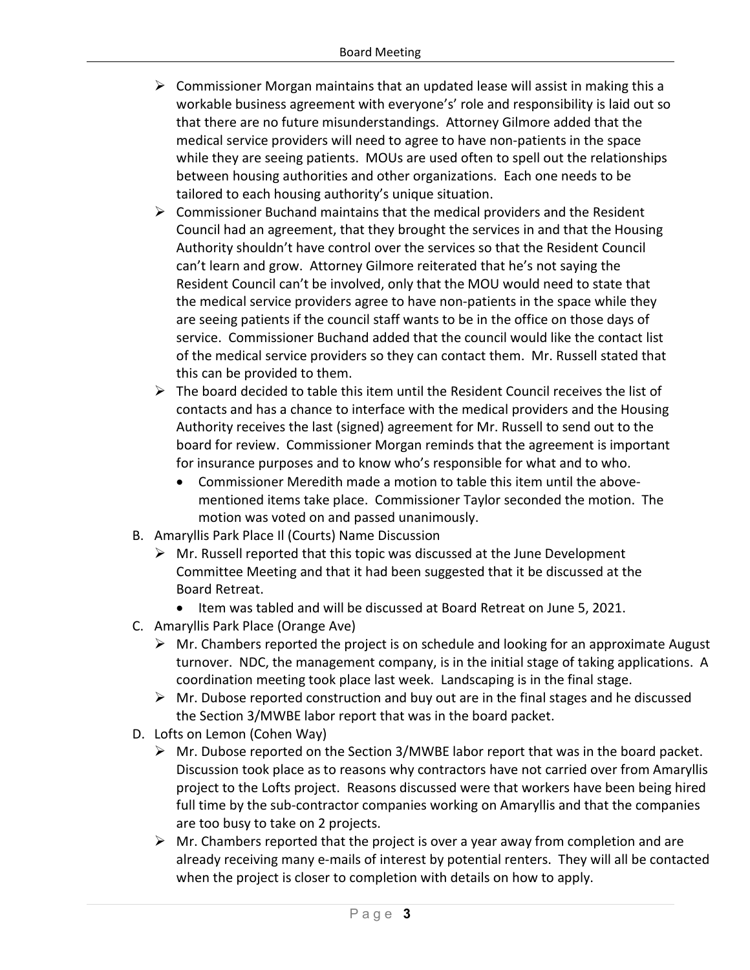- $\triangleright$  Commissioner Morgan maintains that an updated lease will assist in making this a workable business agreement with everyone's' role and responsibility is laid out so that there are no future misunderstandings. Attorney Gilmore added that the medical service providers will need to agree to have non-patients in the space while they are seeing patients. MOUs are used often to spell out the relationships between housing authorities and other organizations. Each one needs to be tailored to each housing authority's unique situation.
- $\triangleright$  Commissioner Buchand maintains that the medical providers and the Resident Council had an agreement, that they brought the services in and that the Housing Authority shouldn't have control over the services so that the Resident Council can't learn and grow. Attorney Gilmore reiterated that he's not saying the Resident Council can't be involved, only that the MOU would need to state that the medical service providers agree to have non-patients in the space while they are seeing patients if the council staff wants to be in the office on those days of service. Commissioner Buchand added that the council would like the contact list of the medical service providers so they can contact them. Mr. Russell stated that this can be provided to them.
- $\triangleright$  The board decided to table this item until the Resident Council receives the list of contacts and has a chance to interface with the medical providers and the Housing Authority receives the last (signed) agreement for Mr. Russell to send out to the board for review. Commissioner Morgan reminds that the agreement is important for insurance purposes and to know who's responsible for what and to who.
	- Commissioner Meredith made a motion to table this item until the abovementioned items take place. Commissioner Taylor seconded the motion. The motion was voted on and passed unanimously.
- B. Amaryllis Park Place Il (Courts) Name Discussion
	- $\triangleright$  Mr. Russell reported that this topic was discussed at the June Development Committee Meeting and that it had been suggested that it be discussed at the Board Retreat.
		- Item was tabled and will be discussed at Board Retreat on June 5, 2021.
- C. Amaryllis Park Place (Orange Ave)
	- $\triangleright$  Mr. Chambers reported the project is on schedule and looking for an approximate August turnover. NDC, the management company, is in the initial stage of taking applications. A coordination meeting took place last week. Landscaping is in the final stage.
	- $\triangleright$  Mr. Dubose reported construction and buy out are in the final stages and he discussed the Section 3/MWBE labor report that was in the board packet.
- D. Lofts on Lemon (Cohen Way)
	- $\triangleright$  Mr. Dubose reported on the Section 3/MWBE labor report that was in the board packet. Discussion took place as to reasons why contractors have not carried over from Amaryllis project to the Lofts project. Reasons discussed were that workers have been being hired full time by the sub-contractor companies working on Amaryllis and that the companies are too busy to take on 2 projects.
	- $\triangleright$  Mr. Chambers reported that the project is over a year away from completion and are already receiving many e-mails of interest by potential renters. They will all be contacted when the project is closer to completion with details on how to apply.